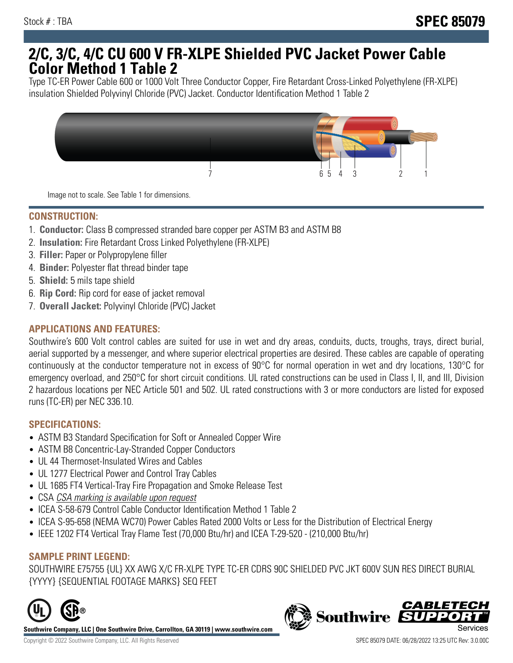# **2/C, 3/C, 4/C CU 600 V FR-XLPE Shielded PVC Jacket Power Cable Color Method 1 Table 2**

Type TC-ER Power Cable 600 or 1000 Volt Three Conductor Copper, Fire Retardant Cross-Linked Polyethylene (FR-XLPE) insulation Shielded Polyvinyl Chloride (PVC) Jacket. Conductor Identification Method 1 Table 2



Image not to scale. See Table 1 for dimensions.

## **CONSTRUCTION:**

- 1. **Conductor:** Class B compressed stranded bare copper per ASTM B3 and ASTM B8
- 2. **Insulation:** Fire Retardant Cross Linked Polyethylene (FR-XLPE)
- 3. **Filler:** Paper or Polypropylene filler
- 4. **Binder:** Polyester flat thread binder tape
- 5. **Shield:** 5 mils tape shield
- 6. **Rip Cord:** Rip cord for ease of jacket removal
- 7. **Overall Jacket:** Polyvinyl Chloride (PVC) Jacket

### **APPLICATIONS AND FEATURES:**

Southwire's 600 Volt control cables are suited for use in wet and dry areas, conduits, ducts, troughs, trays, direct burial, aerial supported by a messenger, and where superior electrical properties are desired. These cables are capable of operating continuously at the conductor temperature not in excess of 90°C for normal operation in wet and dry locations, 130°C for emergency overload, and 250°C for short circuit conditions. UL rated constructions can be used in Class I, II, and III, Division 2 hazardous locations per NEC Article 501 and 502. UL rated constructions with 3 or more conductors are listed for exposed runs (TC-ER) per NEC 336.10.

#### **SPECIFICATIONS:**

- ASTM B3 Standard Specification for Soft or Annealed Copper Wire
- ASTM B8 Concentric-Lay-Stranded Copper Conductors
- UL 44 Thermoset-Insulated Wires and Cables
- UL 1277 Electrical Power and Control Tray Cables
- UL 1685 FT4 Vertical-Tray Fire Propagation and Smoke Release Test
- CSA CSA marking is available upon request
- ICEA S-58-679 Control Cable Conductor Identification Method 1 Table 2
- ICEA S-95-658 (NEMA WC70) Power Cables Rated 2000 Volts or Less for the Distribution of Electrical Energy
- IEEE 1202 FT4 Vertical Tray Flame Test (70,000 Btu/hr) and ICEA T-29-520 (210,000 Btu/hr)

#### **SAMPLE PRINT LEGEND:**

SOUTHWIRE E75755 {UL} XX AWG X/C FR-XLPE TYPE TC-ER CDRS 90C SHIELDED PVC JKT 600V SUN RES DIRECT BURIAL {YYYY} {SEQUENTIAL FOOTAGE MARKS} SEQ FEET



**Southwire Company, LLC | One Southwire Drive, Carrollton, GA 30119 | www.southwire.com**